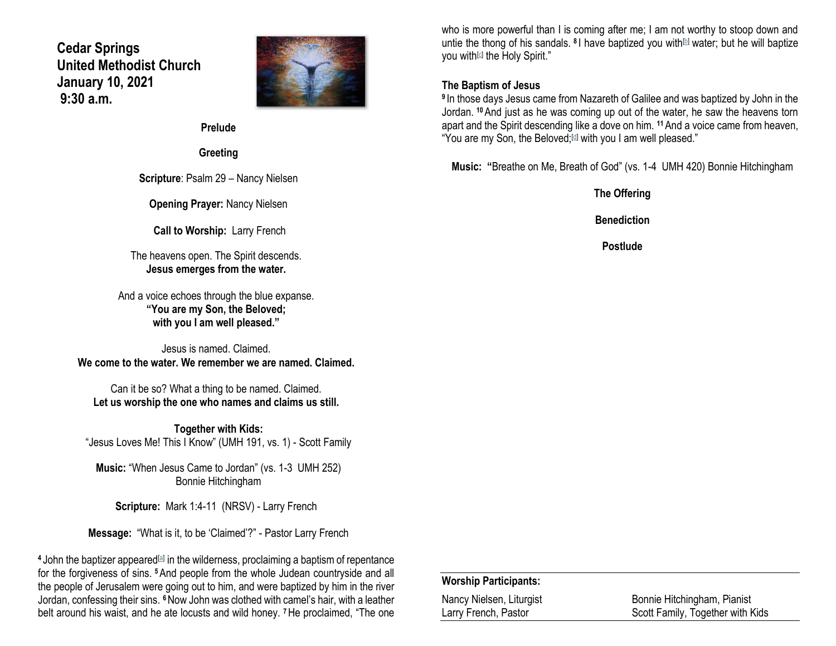# **Cedar Springs United Methodist Church January 10, 2021 9:30 a.m.**



**Prelude**

**Greeting**

**Scripture**: Psalm 29 – Nancy Nielsen

**Opening Prayer:** Nancy Nielsen

**Call to Worship:** Larry French

The heavens open. The Spirit descends. **Jesus emerges from the water.**

And a voice echoes through the blue expanse. **"You are my Son, the Beloved; with you I am well pleased."**

Jesus is named. Claimed. **We come to the water. We remember we are named. Claimed.**

Can it be so? What a thing to be named. Claimed. **Let us worship the one who names and claims us still.**

**Together with Kids:** "Jesus Loves Me! This I Know" (UMH 191, vs. 1) - Scott Family

**Music:** "When Jesus Came to Jordan" (vs. 1-3 UMH 252) Bonnie Hitchingham

**Scripture:** Mark 1:4-11 (NRSV) - Larry French

**Message:** "What is it, to be 'Claimed'?" - Pastor Larry French

<sup>4</sup> John the baptizer appeared<sup>[\[a\]](https://www.biblegateway.com/passage/?search=Mark+1%3A4-11&version=NRSV#fen-NRSV-24217a)</sup> in the wilderness, proclaiming a baptism of repentance for the forgiveness of sins. **<sup>5</sup>**And people from the whole Judean countryside and all the people of Jerusalem were going out to him, and were baptized by him in the river Jordan, confessing their sins. **<sup>6</sup>**Now John was clothed with camel's hair, with a leather belt around his waist, and he ate locusts and wild honey. **<sup>7</sup>**He proclaimed, "The one

who is more powerful than I is coming after me; I am not worthy to stoop down and untie the thong of his sandals. <sup>8</sup> I have baptized you with<sup>[\[b\]](https://www.biblegateway.com/passage/?search=Mark+1%3A4-11&version=NRSV#fen-NRSV-24221b)</sup> water; but he will baptize you with<sup>[\[c\]](https://www.biblegateway.com/passage/?search=Mark+1%3A4-11&version=NRSV#fen-NRSV-24221c)</sup> the Holy Spirit."

## **The Baptism of Jesus**

**9** In those days Jesus came from Nazareth of Galilee and was baptized by John in the Jordan. **<sup>10</sup>**And just as he was coming up out of the water, he saw the heavens torn apart and the Spirit descending like a dove on him. **<sup>11</sup>**And a voice came from heaven, "You are my Son, the Beloved;<sup>[\[d\]](https://www.biblegateway.com/passage/?search=Mark+1%3A4-11&version=NRSV#fen-NRSV-24224d)</sup> with you I am well pleased."

**Music: "**Breathe on Me, Breath of God" (vs. 1-4 UMH 420) Bonnie Hitchingham

**The Offering Benediction**

**Postlude**

### **Worship Participants:**

Nancy Nielsen, Liturgist Bonnie Hitchingham, Pianist Larry French, Pastor **National Control Control** Scott Family, Together with Kids